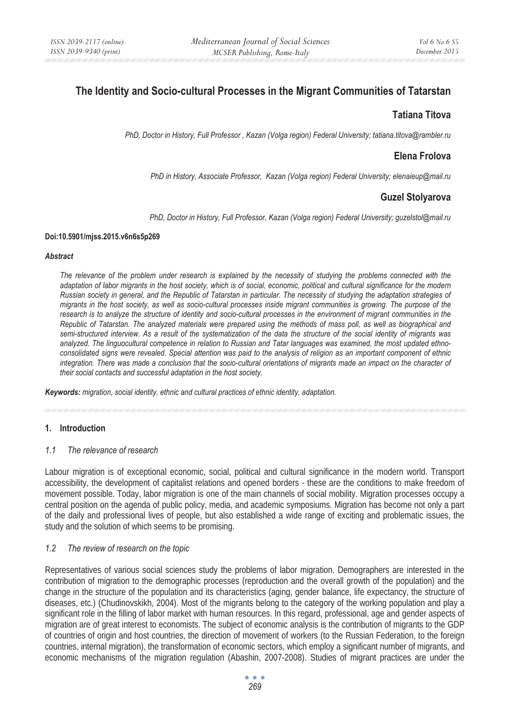# **The Identity and Socio-cultural Processes in the Migrant Communities of Tatarstan**

# **Tatiana Titova**

*PhD, Doctor in History, Full Professor , Kazan (Volga region) Federal University; tatiana.titova@rambler.ru* 

# **Elena Frolova**

*PhD in History, Associate Professor, Kazan (Volga region) Federal University; elenaieup@mail.ru* 

# **Guzel Stolyarova**

*PhD, Doctor in History, Full Professor, Kazan (Volga region) Federal University; guzelstol@mail.ru* 

#### **Doi:10.5901/mjss.2015.v6n6s5p269**

#### *Abstract*

*The relevance of the problem under research is explained by the necessity of studying the problems connected with the adaptation of labor migrants in the host society, which is of social, economic, political and cultural significance for the modern Russian society in general, and the Republic of Tatarstan in particular. The necessity of studying the adaptation strategies of migrants in the host society, as well as socio-cultural processes inside migrant communities is growing. The purpose of the research is to analyze the structure of identity and socio-cultural processes in the environment of migrant communities in the Republic of Tatarstan. The analyzed materials were prepared using the methods of mass poll, as well as biographical and semi-structured interview. As a result of the systematization of the data the structure of the social identity of migrants was analyzed. The linguocultural competence in relation to Russian and Tatar languages was examined, the most updated ethnoconsolidated signs were revealed. Special attention was paid to the analysis of religion as an important component of ethnic integration. There was made a conclusion that the socio-cultural orientations of migrants made an impact on the character of their social contacts and successful adaptation in the host society.* 

*Keywords: migration, social identity, ethnic and cultural practices of ethnic identity, adaptation.* 

### **1. Introduction**

### *1.1 The relevance of research*

Labour migration is of exceptional economic, social, political and cultural significance in the modern world. Transport accessibility, the development of capitalist relations and opened borders - these are the conditions to make freedom of movement possible. Today, labor migration is one of the main channels of social mobility. Migration processes occupy a central position on the agenda of public policy, media, and academic symposiums. Migration has become not only a part of the daily and professional lives of people, but also established a wide range of exciting and problematic issues, the study and the solution of which seems to be promising.

### *1.2 The review of research on the topic*

Representatives of various social sciences study the problems of labor migration. Demographers are interested in the contribution of migration to the demographic processes (reproduction and the overall growth of the population) and the change in the structure of the population and its characteristics (aging, gender balance, life expectancy, the structure of diseases, etc.) (Chudinovskikh, 2004). Most of the migrants belong to the category of the working population and play a significant role in the filling of labor market with human resources. In this regard, professional, age and gender aspects of migration are of great interest to economists. The subject of economic analysis is the contribution of migrants to the GDP of countries of origin and host countries, the direction of movement of workers (to the Russian Federation, to the foreign countries, internal migration), the transformation of economic sectors, which employ a significant number of migrants, and economic mechanisms of the migration regulation (Abashin, 2007-2008). Studies of migrant practices are under the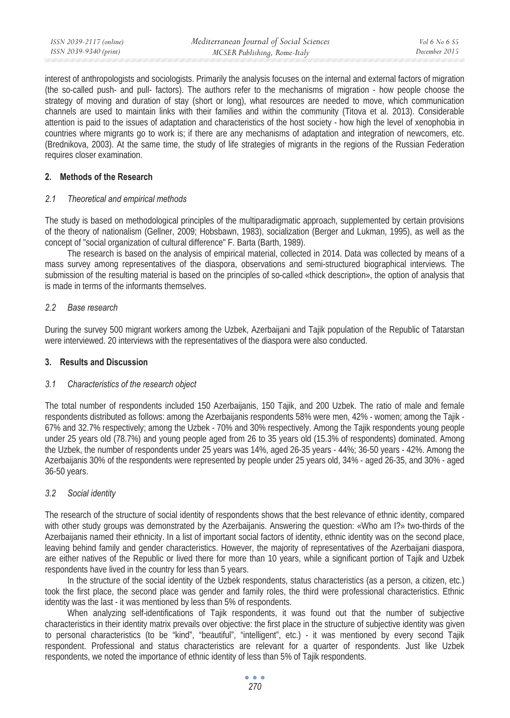interest of anthropologists and sociologists. Primarily the analysis focuses on the internal and external factors of migration (the so-called push- and pull- factors). The authors refer to the mechanisms of migration - how people choose the strategy of moving and duration of stay (short or long), what resources are needed to move, which communication channels are used to maintain links with their families and within the community (Titova et al. 2013). Considerable attention is paid to the issues of adaptation and characteristics of the host society - how high the level of xenophobia in countries where migrants go to work is; if there are any mechanisms of adaptation and integration of newcomers, etc. (Brednikova, 2003). At the same time, the study of life strategies of migrants in the regions of the Russian Federation requires closer examination.

## **2. Methods of the Research**

## *2.1 Theoretical and empirical methods*

The study is based on methodological principles of the multiparadigmatic approach, supplemented by certain provisions of the theory of nationalism (Gellner, 2009; Hobsbawn, 1983), socialization (Berger and Lukman, 1995), as well as the concept of "social organization of cultural difference" F. Barta (Barth, 1989).

The research is based on the analysis of empirical material, collected in 2014. Data was collected by means of a mass survey among representatives of the diaspora, observations and semi-structured biographical interviews. The submission of the resulting material is based on the principles of so-called «thick description», the option of analysis that is made in terms of the informants themselves.

## *2.2 Base research*

During the survey 500 migrant workers among the Uzbek, Azerbaijani and Tajik population of the Republic of Tatarstan were interviewed. 20 interviews with the representatives of the diaspora were also conducted.

## **3. Results and Discussion**

### *3.1 Characteristics of the research object*

The total number of respondents included 150 Azerbaijanis, 150 Tajik, and 200 Uzbek. The ratio of male and female respondents distributed as follows: among the Azerbaijanis respondents 58% were men, 42% - women; among the Tajik - 67% and 32.7% respectively; among the Uzbek - 70% and 30% respectively. Among the Tajik respondents young people under 25 years old (78.7%) and young people aged from 26 to 35 years old (15.3% of respondents) dominated. Among the Uzbek, the number of respondents under 25 years was 14%, aged 26-35 years - 44%; 36-50 years - 42%. Among the Azerbaijanis 30% of the respondents were represented by people under 25 years old, 34% - aged 26-35, and 30% - aged 36-50 years.

## *3.2 Social identity*

The research of the structure of social identity of respondents shows that the best relevance of ethnic identity, compared with other study groups was demonstrated by the Azerbaijanis. Answering the question: «Who am I?» two-thirds of the Azerbaijanis named their ethnicity. In a list of important social factors of identity, ethnic identity was on the second place, leaving behind family and gender characteristics. However, the majority of representatives of the Azerbaijani diaspora, are either natives of the Republic or lived there for more than 10 years, while a significant portion of Tajik and Uzbek respondents have lived in the country for less than 5 years.

In the structure of the social identity of the Uzbek respondents, status characteristics (as a person, a citizen, etc.) took the first place, the second place was gender and family roles, the third were professional characteristics. Ethnic identity was the last - it was mentioned by less than 5% of respondents.

When analyzing self-identifications of Tajik respondents, it was found out that the number of subjective characteristics in their identity matrix prevails over objective: the first place in the structure of subjective identity was given to personal characteristics (to be "kind", "beautiful", "intelligent", etc.) - it was mentioned by every second Tajik respondent. Professional and status characteristics are relevant for a quarter of respondents. Just like Uzbek respondents, we noted the importance of ethnic identity of less than 5% of Tajik respondents.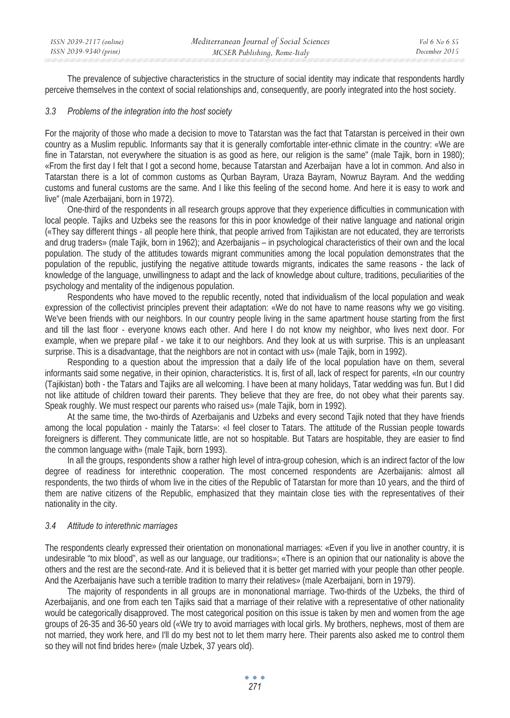| ISSN 2039-2117 (online) | Mediterranean Journal of Social Sciences | <i>Vol</i> 6 No 6 S5 |
|-------------------------|------------------------------------------|----------------------|
| ISSN 2039-9340 (print)  | MCSER Publishing, Rome-Italy             | December 2015        |

The prevalence of subjective characteristics in the structure of social identity may indicate that respondents hardly perceive themselves in the context of social relationships and, consequently, are poorly integrated into the host society.

#### *3.3 Problems of the integration into the host society*

For the majority of those who made a decision to move to Tatarstan was the fact that Tatarstan is perceived in their own country as a Muslim republic. Informants say that it is generally comfortable inter-ethnic climate in the country: «We are fine in Tatarstan, not everywhere the situation is as good as here, our religion is the same" (male Tajik, born in 1980); «From the first day I felt that I got a second home, because Tatarstan and Azerbaijan have a lot in common. And also in Tatarstan there is a lot of common customs as Qurban Bayram, Uraza Bayram, Nowruz Bayram. And the wedding customs and funeral customs are the same. And I like this feeling of the second home. And here it is easy to work and live" (male Azerbaijani, born in 1972).

One-third of the respondents in all research groups approve that they experience difficulties in communication with local people. Tajiks and Uzbeks see the reasons for this in poor knowledge of their native language and national origin («They say different things - all people here think, that people arrived from Tajikistan are not educated, they are terrorists and drug traders» (male Tajik, born in 1962); and Azerbaijanis – in psychological characteristics of their own and the local population. The study of the attitudes towards migrant communities among the local population demonstrates that the population of the republic, justifying the negative attitude towards migrants, indicates the same reasons - the lack of knowledge of the language, unwillingness to adapt and the lack of knowledge about culture, traditions, peculiarities of the psychology and mentality of the indigenous population.

Respondents who have moved to the republic recently, noted that individualism of the local population and weak expression of the collectivist principles prevent their adaptation: «We do not have to name reasons why we go visiting. We've been friends with our neighbors. In our country people living in the same apartment house starting from the first and till the last floor - everyone knows each other. And here I do not know my neighbor, who lives next door. For example, when we prepare pilaf - we take it to our neighbors. And they look at us with surprise. This is an unpleasant surprise. This is a disadvantage, that the neighbors are not in contact with us» (male Tajik, born in 1992).

Responding to a question about the impression that a daily life of the local population have on them, several informants said some negative, in their opinion, characteristics. It is, first of all, lack of respect for parents, «In our country (Tajikistan) both - the Tatars and Tajiks are all welcoming. I have been at many holidays, Tatar wedding was fun. But I did not like attitude of children toward their parents. They believe that they are free, do not obey what their parents say. Speak roughly. We must respect our parents who raised us» (male Tajik, born in 1992).

At the same time, the two-thirds of Azerbaijanis and Uzbeks and every second Tajik noted that they have friends among the local population - mainly the Tatars»: «I feel closer to Tatars. The attitude of the Russian people towards foreigners is different. They communicate little, are not so hospitable. But Tatars are hospitable, they are easier to find the common language with» (male Tajik, born 1993).

In all the groups, respondents show a rather high level of intra-group cohesion, which is an indirect factor of the low degree of readiness for interethnic cooperation. The most concerned respondents are Azerbaijanis: almost all respondents, the two thirds of whom live in the cities of the Republic of Tatarstan for more than 10 years, and the third of them are native citizens of the Republic, emphasized that they maintain close ties with the representatives of their nationality in the city.

#### *3.4 Attitude to interethnic marriages*

The respondents clearly expressed their orientation on mononational marriages: «Even if you live in another country, it is undesirable "to mix blood", as well as our language, our traditions»; «There is an opinion that our nationality is above the others and the rest are the second-rate. And it is believed that it is better get married with your people than other people. And the Azerbaijanis have such a terrible tradition to marry their relatives» (male Azerbaijani, born in 1979).

The majority of respondents in all groups are in mononational marriage. Two-thirds of the Uzbeks, the third of Azerbaijanis, and one from each ten Tajiks said that a marriage of their relative with a representative of other nationality would be categorically disapproved. The most categorical position on this issue is taken by men and women from the age groups of 26-35 and 36-50 years old («We try to avoid marriages with local girls. My brothers, nephews, most of them are not married, they work here, and I'll do my best not to let them marry here. Their parents also asked me to control them so they will not find brides here» (male Uzbek, 37 years old).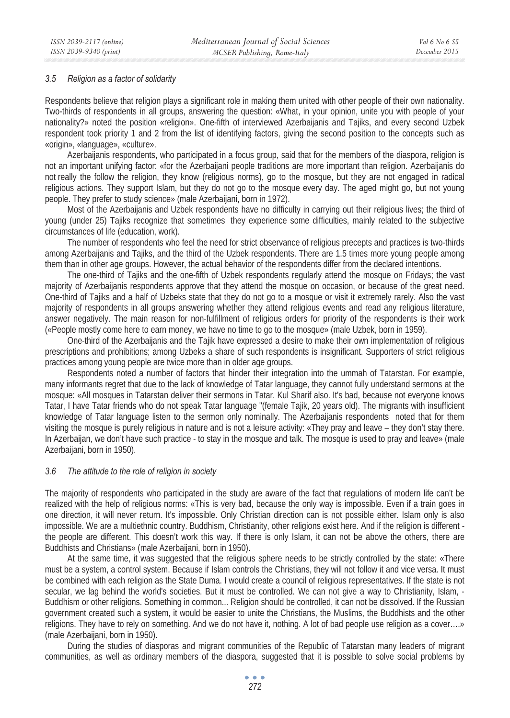#### *3.5 Religion as a factor of solidarity*

Respondents believe that religion plays a significant role in making them united with other people of their own nationality. Two-thirds of respondents in all groups, answering the question: «What, in your opinion, unite you with people of your nationality?» noted the position «religion». One-fifth of interviewed Azerbaijanis and Tajiks, and every second Uzbek respondent took priority 1 and 2 from the list of identifying factors, giving the second position to the concepts such as «origin», «language», «culture».

Azerbaijanis respondents, who participated in a focus group, said that for the members of the diaspora, religion is not an important unifying factor: «for the Azerbaijani people traditions are more important than religion. Azerbaijanis do not really the follow the religion, they know (religious norms), go to the mosque, but they are not engaged in radical religious actions. They support Islam, but they do not go to the mosque every day. The aged might go, but not young people. They prefer to study science» (male Azerbaijani, born in 1972).

Most of the Azerbaijanis and Uzbek respondents have no difficulty in carrying out their religious lives; the third of young (under 25) Tajiks recognize that sometimes they experience some difficulties, mainly related to the subjective circumstances of life (education, work).

The number of respondents who feel the need for strict observance of religious precepts and practices is two-thirds among Azerbaijanis and Tajiks, and the third of the Uzbek respondents. There are 1.5 times more young people among them than in other age groups. However, the actual behavior of the respondents differ from the declared intentions.

The one-third of Tajiks and the one-fifth of Uzbek respondents regularly attend the mosque on Fridays; the vast majority of Azerbaijanis respondents approve that they attend the mosque on occasion, or because of the great need. One-third of Tajiks and a half of Uzbeks state that they do not go to a mosque or visit it extremely rarely. Also the vast majority of respondents in all groups answering whether they attend religious events and read any religious literature, answer negatively. The main reason for non-fulfillment of religious orders for priority of the respondents is their work («People mostly come here to earn money, we have no time to go to the mosque» (male Uzbek, born in 1959).

One-third of the Azerbaijanis and the Tajik have expressed a desire to make their own implementation of religious prescriptions and prohibitions; among Uzbeks a share of such respondents is insignificant. Supporters of strict religious practices among young people are twice more than in older age groups.

Respondents noted a number of factors that hinder their integration into the ummah of Tatarstan. For example, many informants regret that due to the lack of knowledge of Tatar language, they cannot fully understand sermons at the mosque: «All mosques in Tatarstan deliver their sermons in Tatar. Kul Sharif also. It's bad, because not everyone knows Tatar, I have Tatar friends who do not speak Tatar language "(female Tajik, 20 years old). The migrants with insufficient knowledge of Tatar language listen to the sermon only nominally. The Azerbaijanis respondents noted that for them visiting the mosque is purely religious in nature and is not a leisure activity: «They pray and leave – they don't stay there. In Azerbaijan, we don't have such practice - to stay in the mosque and talk. The mosque is used to pray and leave» (male Azerbaijani, born in 1950).

#### *3.6 The attitude to the role of religion in society*

The majority of respondents who participated in the study are aware of the fact that regulations of modern life can't be realized with the help of religious norms: «This is very bad, because the only way is impossible. Even if a train goes in one direction, it will never return. It's impossible. Only Christian direction can is not possible either. Islam only is also impossible. We are a multiethnic country. Buddhism, Christianity, other religions exist here. And if the religion is different the people are different. This doesn't work this way. If there is only Islam, it can not be above the others, there are Buddhists and Christians» (male Azerbaijani, born in 1950).

At the same time, it was suggested that the religious sphere needs to be strictly controlled by the state: «There must be a system, a control system. Because if Islam controls the Christians, they will not follow it and vice versa. It must be combined with each religion as the State Duma. I would create a council of religious representatives. If the state is not secular, we lag behind the world's societies. But it must be controlled. We can not give a way to Christianity, Islam, - Buddhism or other religions. Something in common... Religion should be controlled, it can not be dissolved. If the Russian government created such a system, it would be easier to unite the Christians, the Muslims, the Buddhists and the other religions. They have to rely on something. And we do not have it, nothing. A lot of bad people use religion as a cover….» (male Azerbaijani, born in 1950).

During the studies of diasporas and migrant communities of the Republic of Tatarstan many leaders of migrant communities, as well as ordinary members of the diaspora, suggested that it is possible to solve social problems by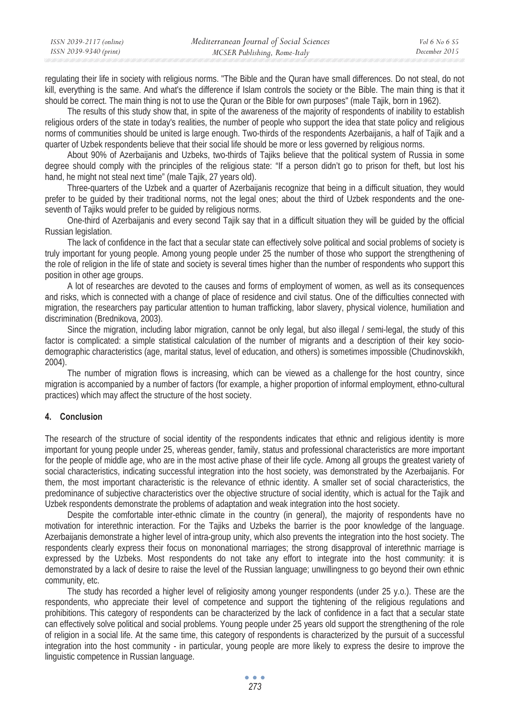| ISSN 2039-2117 (online) | Mediterranean Journal of Social Sciences | Vol 6 No 6 S5 |
|-------------------------|------------------------------------------|---------------|
| ISSN 2039-9340 (print)  | MCSER Publishing, Rome-Italy             | December 2015 |

regulating their life in society with religious norms. "The Bible and the Quran have small differences. Do not steal, do not kill, everything is the same. And what's the difference if Islam controls the society or the Bible. The main thing is that it should be correct. The main thing is not to use the Quran or the Bible for own purposes" (male Tajik, born in 1962).

The results of this study show that, in spite of the awareness of the majority of respondents of inability to establish religious orders of the state in today's realities, the number of people who support the idea that state policy and religious norms of communities should be united is large enough. Two-thirds of the respondents Azerbaijanis, a half of Tajik and a quarter of Uzbek respondents believe that their social life should be more or less governed by religious norms.

About 90% of Azerbaijanis and Uzbeks, two-thirds of Tajiks believe that the political system of Russia in some degree should comply with the principles of the religious state: "If a person didn't go to prison for theft, but lost his hand, he might not steal next time" (male Tajik, 27 years old).

Three-quarters of the Uzbek and a quarter of Azerbaijanis recognize that being in a difficult situation, they would prefer to be guided by their traditional norms, not the legal ones; about the third of Uzbek respondents and the oneseventh of Tajiks would prefer to be guided by religious norms.

One-third of Azerbaijanis and every second Tajik say that in a difficult situation they will be guided by the official Russian legislation.

The lack of confidence in the fact that a secular state can effectively solve political and social problems of society is truly important for young people. Among young people under 25 the number of those who support the strengthening of the role of religion in the life of state and society is several times higher than the number of respondents who support this position in other age groups.

A lot of researches are devoted to the causes and forms of employment of women, as well as its consequences and risks, which is connected with a change of place of residence and civil status. One of the difficulties connected with migration, the researchers pay particular attention to human trafficking, labor slavery, physical violence, humiliation and discrimination (Brednikova, 2003).

Since the migration, including labor migration, cannot be only legal, but also illegal / semi-legal, the study of this factor is complicated: a simple statistical calculation of the number of migrants and a description of their key sociodemographic characteristics (age, marital status, level of education, and others) is sometimes impossible (Chudinovskikh, 2004).

The number of migration flows is increasing, which can be viewed as a challenge for the host country, since migration is accompanied by a number of factors (for example, a higher proportion of informal employment, ethno-cultural practices) which may affect the structure of the host society.

## **4. Conclusion**

The research of the structure of social identity of the respondents indicates that ethnic and religious identity is more important for young people under 25, whereas gender, family, status and professional characteristics are more important for the people of middle age, who are in the most active phase of their life cycle. Among all groups the greatest variety of social characteristics, indicating successful integration into the host society, was demonstrated by the Azerbaijanis. For them, the most important characteristic is the relevance of ethnic identity. A smaller set of social characteristics, the predominance of subjective characteristics over the objective structure of social identity, which is actual for the Tajik and Uzbek respondents demonstrate the problems of adaptation and weak integration into the host society.

Despite the comfortable inter-ethnic climate in the country (in general), the majority of respondents have no motivation for interethnic interaction. For the Tajiks and Uzbeks the barrier is the poor knowledge of the language. Azerbaijanis demonstrate a higher level of intra-group unity, which also prevents the integration into the host society. The respondents clearly express their focus on mononational marriages; the strong disapproval of interethnic marriage is expressed by the Uzbeks. Most respondents do not take any effort to integrate into the host community: it is demonstrated by a lack of desire to raise the level of the Russian language; unwillingness to go beyond their own ethnic community, etc.

The study has recorded a higher level of religiosity among younger respondents (under 25 y.o.). These are the respondents, who appreciate their level of competence and support the tightening of the religious regulations and prohibitions. This category of respondents can be characterized by the lack of confidence in a fact that a secular state can effectively solve political and social problems. Young people under 25 years old support the strengthening of the role of religion in a social life. At the same time, this category of respondents is characterized by the pursuit of a successful integration into the host community - in particular, young people are more likely to express the desire to improve the linguistic competence in Russian language.